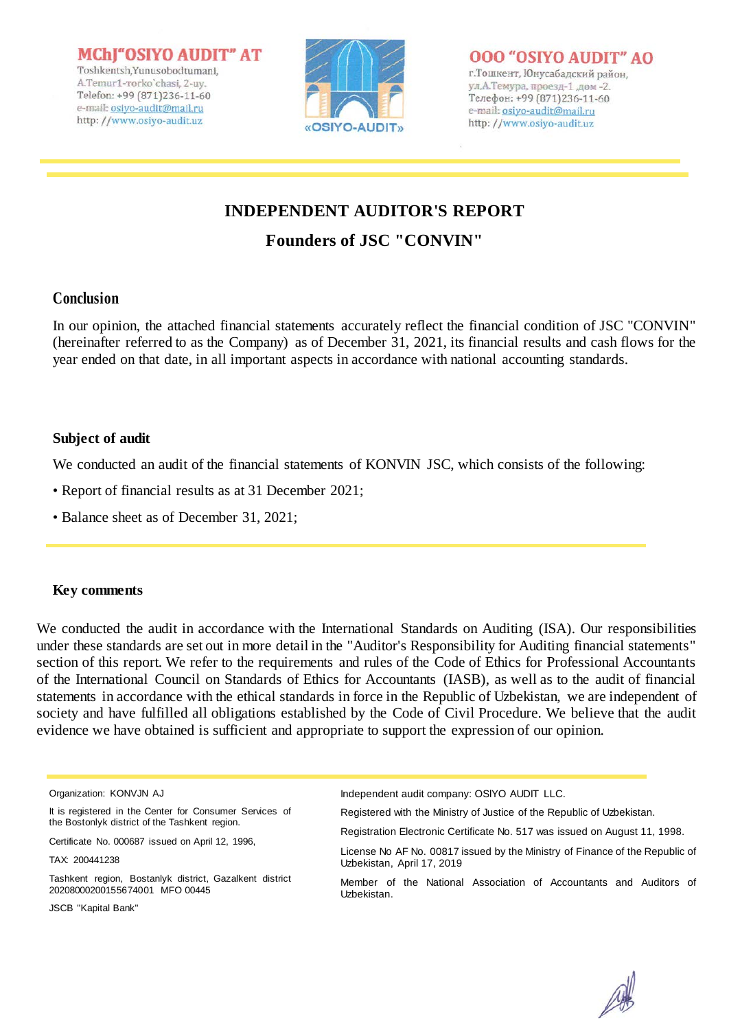MChI"OSIYO AUDIT" AT Toshkentsh, Yunusobodtumani, A.Temur1-rorko'chasi, 2-uv. Telefon: +99 (871)236-11-60 e-mail: osiyo-audit@mail.ru http://www.osiyo-audit.uz



### **000 "OSIYO AUDIT" AO**

г. Тошкент, Юнусабадский район, ул, А. Темура, проезд-1, дом-2. Телефон: +99 (871)236-11-60 e-mail: osiyo-audit@mail.ru http://www.osiyo-audit.uz

# **INDEPENDENT AUDITOR'S REPORT**

## **Founders of JSC "CONVIN"**

## **Conclusion**

In our opinion, the attached financial statements accurately reflect the financial condition of JSC "CONVIN" (hereinafter referred to as the Company) as of December 31, 2021, its financial results and cash flows for the year ended on that date, in all important aspects in accordance with national accounting standards.

## **Subject of audit**

We conducted an audit of the financial statements of KONVIN JSC, which consists of the following:

- Report of financial results as at 31 December 2021;
- Balance sheet as of December 31, 2021;

### **Key comments**

We conducted the audit in accordance with the International Standards on Auditing (ISA). Our responsibilities under these standards are set out in more detail in the "Auditor's Responsibility for Auditing financial statements" section of this report. We refer to the requirements and rules of the Code of Ethics for Professional Accountants of the International Council on Standards of Ethics for Accountants (IASB), as well as to the audit of financial statements in accordance with the ethical standards in force in the Republic of Uzbekistan, we are independent of society and have fulfilled all obligations established by the Code of Civil Procedure. We believe that the audit evidence we have obtained is sufficient and appropriate to support the expression of our opinion.

It is registered in the Center for Consumer Services of the Bostonlyk district of the Tashkent region.

Certificate No. 000687 issued on April 12, 1996,

Tashkent region, Bostanlyk district, Gazalkent district 20208000200155674001 MFO 00445

JSCB "Kapital Bank"

Independent audit company: OSlYO AUDIT LLC.

Registered with the Ministry of Justice of the Republic of Uzbekistan.

Registration Electronic Certificate No. 517 was issued on August 11, 1998.

License No AF No. 00817 issued by the Ministry of Finance of the Republic of Uzbekistan, April 17, 2019

Member of the National Association of Accountants and Auditors of Uzbekistan.



Organization: KONVJN AJ

TAX: 200441238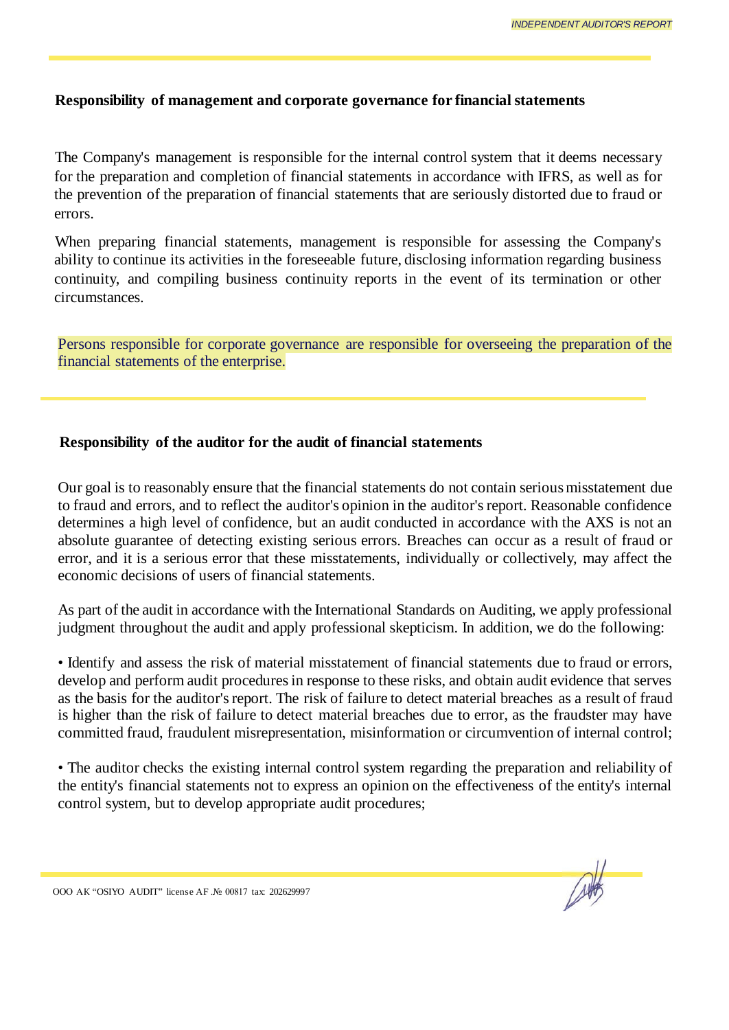#### **Responsibility of management and corporate governance for financial statements**

The Company's management is responsible for the internal control system that it deems necessary for the preparation and completion of financial statements in accordance with IFRS, as well as for the prevention of the preparation of financial statements that are seriously distorted due to fraud or errors.

When preparing financial statements, management is responsible for assessing the Company's ability to continue its activities in the foreseeable future, disclosing information regarding business continuity, and compiling business continuity reports in the event of its termination or other circumstances.

Persons responsible for corporate governance are responsible for overseeing the preparation of the financial statements of the enterprise.

#### **Responsibility of the auditor for the audit of financial statements**

Our goal is to reasonably ensure that the financial statements do not contain serious misstatement due to fraud and errors, and to reflect the auditor's opinion in the auditor's report. Reasonable confidence determines a high level of confidence, but an audit conducted in accordance with the AXS is not an absolute guarantee of detecting existing serious errors. Breaches can occur as a result of fraud or error, and it is a serious error that these misstatements, individually or collectively, may affect the economic decisions of users of financial statements.

As part of the audit in accordance with the International Standards on Auditing, we apply professional judgment throughout the audit and apply professional skepticism. In addition, we do the following:

• Identify and assess the risk of material misstatement of financial statements due to fraud or errors, develop and perform audit procedures in response to these risks, and obtain audit evidence that serves as the basis for the auditor's report. The risk of failure to detect material breaches as a result of fraud is higher than the risk of failure to detect material breaches due to error, as the fraudster may have committed fraud, fraudulent misrepresentation, misinformation or circumvention of internal control;

• The auditor checks the existing internal control system regarding the preparation and reliability of the entity's financial statements not to express an opinion on the effectiveness of the entity's internal control system, but to develop appropriate audit procedures;

ООО АК "OSIYO AUDIT" license АF .№ 00817 tax: 202629997